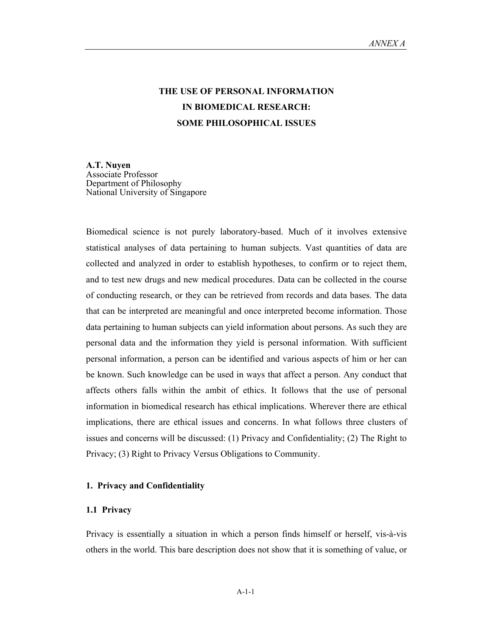# THE USE OF PERSONAL INFORMATION IN BIOMEDICAL RESEARCH: SOME PHILOSOPHICAL ISSUES

A.T. Nuyen Associate Professor Department of Philosophy National University of Singapore

Biomedical science is not purely laboratory-based. Much of it involves extensive statistical analyses of data pertaining to human subjects. Vast quantities of data are collected and analyzed in order to establish hypotheses, to confirm or to reject them, and to test new drugs and new medical procedures. Data can be collected in the course of conducting research, or they can be retrieved from records and data bases. The data that can be interpreted are meaningful and once interpreted become information. Those data pertaining to human subjects can yield information about persons. As such they are personal data and the information they yield is personal information. With sufficient personal information, a person can be identified and various aspects of him or her can be known. Such knowledge can be used in ways that affect a person. Any conduct that affects others falls within the ambit of ethics. It follows that the use of personal information in biomedical research has ethical implications. Wherever there are ethical implications, there are ethical issues and concerns. In what follows three clusters of issues and concerns will be discussed: (1) Privacy and Confidentiality; (2) The Right to Privacy; (3) Right to Privacy Versus Obligations to Community.

## 1. Privacy and Confidentiality

#### 1.1 Privacy

Privacy is essentially a situation in which a person finds himself or herself, vis-à-vis others in the world. This bare description does not show that it is something of value, or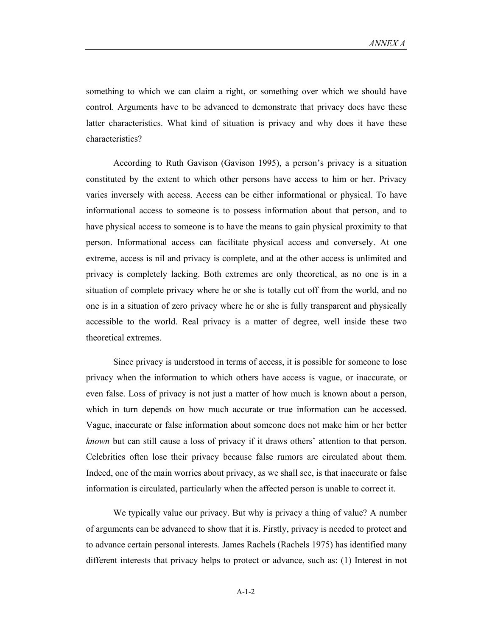something to which we can claim a right, or something over which we should have control. Arguments have to be advanced to demonstrate that privacy does have these latter characteristics. What kind of situation is privacy and why does it have these characteristics?

According to Ruth Gavison (Gavison 1995), a person's privacy is a situation constituted by the extent to which other persons have access to him or her. Privacy varies inversely with access. Access can be either informational or physical. To have informational access to someone is to possess information about that person, and to have physical access to someone is to have the means to gain physical proximity to that person. Informational access can facilitate physical access and conversely. At one extreme, access is nil and privacy is complete, and at the other access is unlimited and privacy is completely lacking. Both extremes are only theoretical, as no one is in a situation of complete privacy where he or she is totally cut off from the world, and no one is in a situation of zero privacy where he or she is fully transparent and physically accessible to the world. Real privacy is a matter of degree, well inside these two theoretical extremes.

Since privacy is understood in terms of access, it is possible for someone to lose privacy when the information to which others have access is vague, or inaccurate, or even false. Loss of privacy is not just a matter of how much is known about a person, which in turn depends on how much accurate or true information can be accessed. Vague, inaccurate or false information about someone does not make him or her better known but can still cause a loss of privacy if it draws others' attention to that person. Celebrities often lose their privacy because false rumors are circulated about them. Indeed, one of the main worries about privacy, as we shall see, is that inaccurate or false information is circulated, particularly when the affected person is unable to correct it.

We typically value our privacy. But why is privacy a thing of value? A number of arguments can be advanced to show that it is. Firstly, privacy is needed to protect and to advance certain personal interests. James Rachels (Rachels 1975) has identified many different interests that privacy helps to protect or advance, such as: (1) Interest in not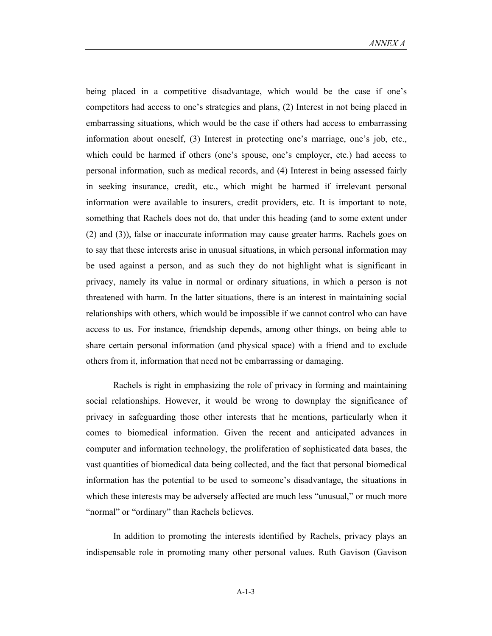being placed in a competitive disadvantage, which would be the case if one's competitors had access to one's strategies and plans, (2) Interest in not being placed in embarrassing situations, which would be the case if others had access to embarrassing information about oneself, (3) Interest in protecting one's marriage, one's job, etc., which could be harmed if others (one's spouse, one's employer, etc.) had access to personal information, such as medical records, and (4) Interest in being assessed fairly in seeking insurance, credit, etc., which might be harmed if irrelevant personal information were available to insurers, credit providers, etc. It is important to note, something that Rachels does not do, that under this heading (and to some extent under (2) and (3)), false or inaccurate information may cause greater harms. Rachels goes on to say that these interests arise in unusual situations, in which personal information may be used against a person, and as such they do not highlight what is significant in privacy, namely its value in normal or ordinary situations, in which a person is not threatened with harm. In the latter situations, there is an interest in maintaining social relationships with others, which would be impossible if we cannot control who can have access to us. For instance, friendship depends, among other things, on being able to share certain personal information (and physical space) with a friend and to exclude others from it, information that need not be embarrassing or damaging.

Rachels is right in emphasizing the role of privacy in forming and maintaining social relationships. However, it would be wrong to downplay the significance of privacy in safeguarding those other interests that he mentions, particularly when it comes to biomedical information. Given the recent and anticipated advances in computer and information technology, the proliferation of sophisticated data bases, the vast quantities of biomedical data being collected, and the fact that personal biomedical information has the potential to be used to someone's disadvantage, the situations in which these interests may be adversely affected are much less "unusual," or much more "normal" or "ordinary" than Rachels believes.

In addition to promoting the interests identified by Rachels, privacy plays an indispensable role in promoting many other personal values. Ruth Gavison (Gavison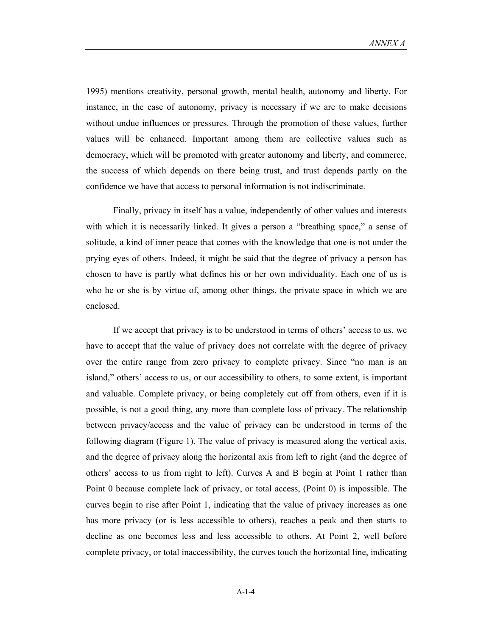1995) mentions creativity, personal growth, mental health, autonomy and liberty. For instance, in the case of autonomy, privacy is necessary if we are to make decisions without undue influences or pressures. Through the promotion of these values, further values will be enhanced. Important among them are collective values such as democracy, which will be promoted with greater autonomy and liberty, and commerce, the success of which depends on there being trust, and trust depends partly on the confidence we have that access to personal information is not indiscriminate.

Finally, privacy in itself has a value, independently of other values and interests with which it is necessarily linked. It gives a person a "breathing space," a sense of solitude, a kind of inner peace that comes with the knowledge that one is not under the prying eyes of others. Indeed, it might be said that the degree of privacy a person has chosen to have is partly what defines his or her own individuality. Each one of us is who he or she is by virtue of, among other things, the private space in which we are enclosed.

If we accept that privacy is to be understood in terms of others' access to us, we have to accept that the value of privacy does not correlate with the degree of privacy over the entire range from zero privacy to complete privacy. Since "no man is an island," others' access to us, or our accessibility to others, to some extent, is important and valuable. Complete privacy, or being completely cut off from others, even if it is possible, is not a good thing, any more than complete loss of privacy. The relationship between privacy/access and the value of privacy can be understood in terms of the following diagram (Figure 1). The value of privacy is measured along the vertical axis, and the degree of privacy along the horizontal axis from left to right (and the degree of others' access to us from right to left). Curves A and B begin at Point 1 rather than Point 0 because complete lack of privacy, or total access, (Point 0) is impossible. The curves begin to rise after Point 1, indicating that the value of privacy increases as one has more privacy (or is less accessible to others), reaches a peak and then starts to decline as one becomes less and less accessible to others. At Point 2, well before complete privacy, or total inaccessibility, the curves touch the horizontal line, indicating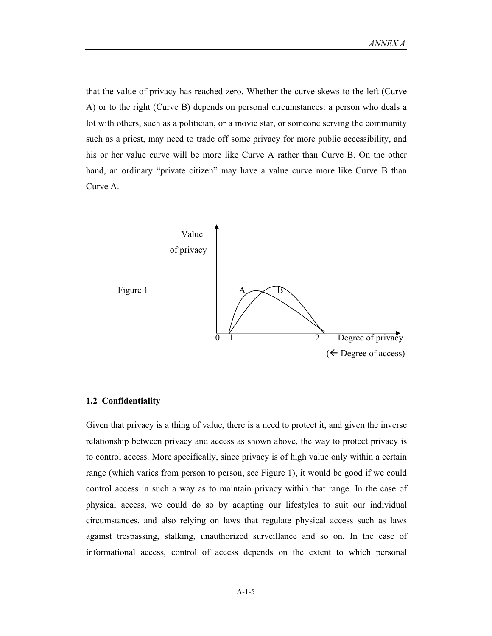that the value of privacy has reached zero. Whether the curve skews to the left (Curve A) or to the right (Curve B) depends on personal circumstances: a person who deals a lot with others, such as a politician, or a movie star, or someone serving the community such as a priest, may need to trade off some privacy for more public accessibility, and his or her value curve will be more like Curve A rather than Curve B. On the other hand, an ordinary "private citizen" may have a value curve more like Curve B than Curve A.



# 1.2 Confidentiality

Given that privacy is a thing of value, there is a need to protect it, and given the inverse relationship between privacy and access as shown above, the way to protect privacy is to control access. More specifically, since privacy is of high value only within a certain range (which varies from person to person, see Figure 1), it would be good if we could control access in such a way as to maintain privacy within that range. In the case of physical access, we could do so by adapting our lifestyles to suit our individual circumstances, and also relying on laws that regulate physical access such as laws against trespassing, stalking, unauthorized surveillance and so on. In the case of informational access, control of access depends on the extent to which personal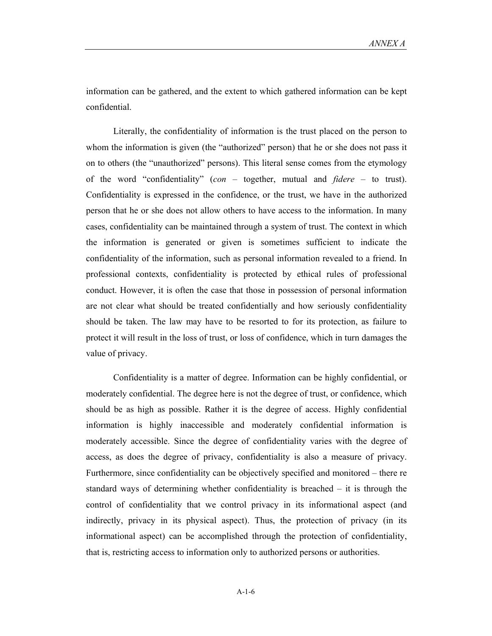information can be gathered, and the extent to which gathered information can be kept confidential.

Literally, the confidentiality of information is the trust placed on the person to whom the information is given (the "authorized" person) that he or she does not pass it on to others (the "unauthorized" persons). This literal sense comes from the etymology of the word "confidentiality" (con – together, mutual and *fidere* – to trust). Confidentiality is expressed in the confidence, or the trust, we have in the authorized person that he or she does not allow others to have access to the information. In many cases, confidentiality can be maintained through a system of trust. The context in which the information is generated or given is sometimes sufficient to indicate the confidentiality of the information, such as personal information revealed to a friend. In professional contexts, confidentiality is protected by ethical rules of professional conduct. However, it is often the case that those in possession of personal information are not clear what should be treated confidentially and how seriously confidentiality should be taken. The law may have to be resorted to for its protection, as failure to protect it will result in the loss of trust, or loss of confidence, which in turn damages the value of privacy.

Confidentiality is a matter of degree. Information can be highly confidential, or moderately confidential. The degree here is not the degree of trust, or confidence, which should be as high as possible. Rather it is the degree of access. Highly confidential information is highly inaccessible and moderately confidential information is moderately accessible. Since the degree of confidentiality varies with the degree of access, as does the degree of privacy, confidentiality is also a measure of privacy. Furthermore, since confidentiality can be objectively specified and monitored – there re standard ways of determining whether confidentiality is breached – it is through the control of confidentiality that we control privacy in its informational aspect (and indirectly, privacy in its physical aspect). Thus, the protection of privacy (in its informational aspect) can be accomplished through the protection of confidentiality, that is, restricting access to information only to authorized persons or authorities.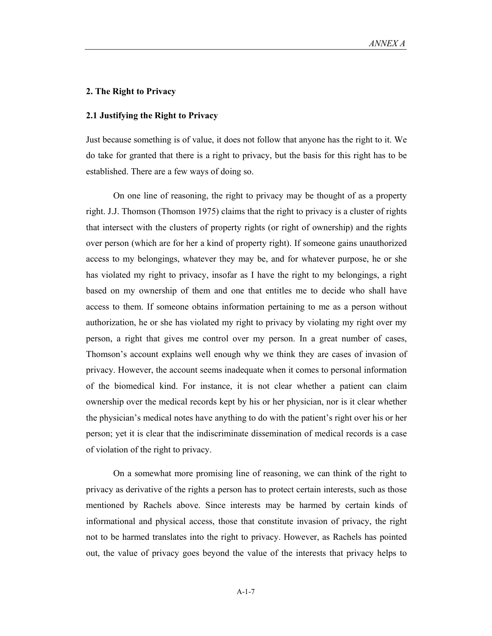#### 2. The Right to Privacy

#### 2.1 Justifying the Right to Privacy

Just because something is of value, it does not follow that anyone has the right to it. We do take for granted that there is a right to privacy, but the basis for this right has to be established. There are a few ways of doing so.

On one line of reasoning, the right to privacy may be thought of as a property right. J.J. Thomson (Thomson 1975) claims that the right to privacy is a cluster of rights that intersect with the clusters of property rights (or right of ownership) and the rights over person (which are for her a kind of property right). If someone gains unauthorized access to my belongings, whatever they may be, and for whatever purpose, he or she has violated my right to privacy, insofar as I have the right to my belongings, a right based on my ownership of them and one that entitles me to decide who shall have access to them. If someone obtains information pertaining to me as a person without authorization, he or she has violated my right to privacy by violating my right over my person, a right that gives me control over my person. In a great number of cases, Thomson's account explains well enough why we think they are cases of invasion of privacy. However, the account seems inadequate when it comes to personal information of the biomedical kind. For instance, it is not clear whether a patient can claim ownership over the medical records kept by his or her physician, nor is it clear whether the physician's medical notes have anything to do with the patient's right over his or her person; yet it is clear that the indiscriminate dissemination of medical records is a case of violation of the right to privacy.

On a somewhat more promising line of reasoning, we can think of the right to privacy as derivative of the rights a person has to protect certain interests, such as those mentioned by Rachels above. Since interests may be harmed by certain kinds of informational and physical access, those that constitute invasion of privacy, the right not to be harmed translates into the right to privacy. However, as Rachels has pointed out, the value of privacy goes beyond the value of the interests that privacy helps to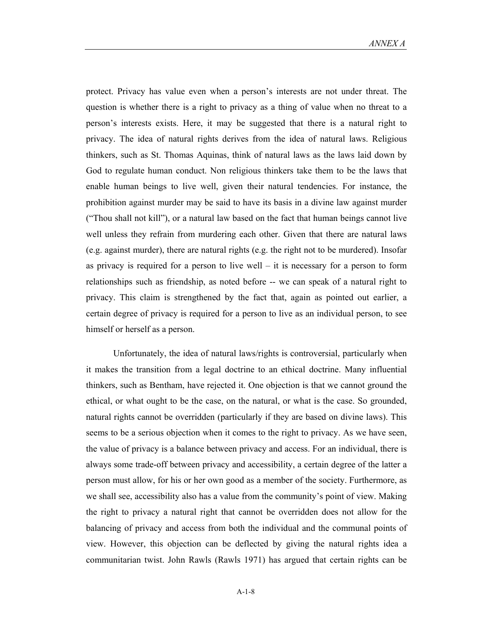protect. Privacy has value even when a person's interests are not under threat. The question is whether there is a right to privacy as a thing of value when no threat to a person's interests exists. Here, it may be suggested that there is a natural right to privacy. The idea of natural rights derives from the idea of natural laws. Religious thinkers, such as St. Thomas Aquinas, think of natural laws as the laws laid down by God to regulate human conduct. Non religious thinkers take them to be the laws that enable human beings to live well, given their natural tendencies. For instance, the prohibition against murder may be said to have its basis in a divine law against murder ("Thou shall not kill"), or a natural law based on the fact that human beings cannot live well unless they refrain from murdering each other. Given that there are natural laws (e.g. against murder), there are natural rights (e.g. the right not to be murdered). Insofar as privacy is required for a person to live well – it is necessary for a person to form relationships such as friendship, as noted before -- we can speak of a natural right to privacy. This claim is strengthened by the fact that, again as pointed out earlier, a certain degree of privacy is required for a person to live as an individual person, to see himself or herself as a person.

Unfortunately, the idea of natural laws/rights is controversial, particularly when it makes the transition from a legal doctrine to an ethical doctrine. Many influential thinkers, such as Bentham, have rejected it. One objection is that we cannot ground the ethical, or what ought to be the case, on the natural, or what is the case. So grounded, natural rights cannot be overridden (particularly if they are based on divine laws). This seems to be a serious objection when it comes to the right to privacy. As we have seen, the value of privacy is a balance between privacy and access. For an individual, there is always some trade-off between privacy and accessibility, a certain degree of the latter a person must allow, for his or her own good as a member of the society. Furthermore, as we shall see, accessibility also has a value from the community's point of view. Making the right to privacy a natural right that cannot be overridden does not allow for the balancing of privacy and access from both the individual and the communal points of view. However, this objection can be deflected by giving the natural rights idea a communitarian twist. John Rawls (Rawls 1971) has argued that certain rights can be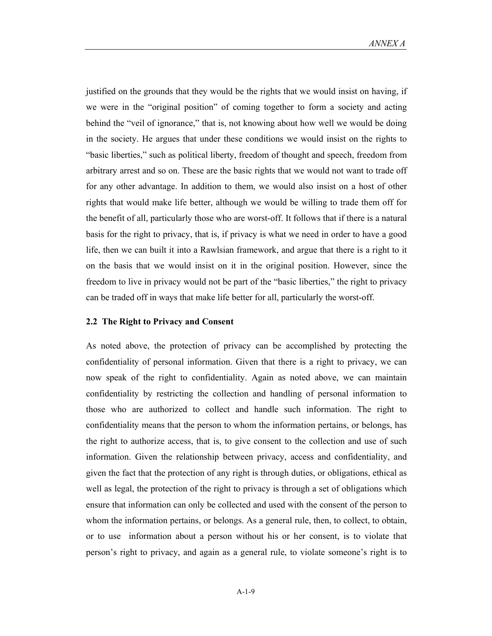justified on the grounds that they would be the rights that we would insist on having, if we were in the "original position" of coming together to form a society and acting behind the "veil of ignorance," that is, not knowing about how well we would be doing in the society. He argues that under these conditions we would insist on the rights to "basic liberties," such as political liberty, freedom of thought and speech, freedom from arbitrary arrest and so on. These are the basic rights that we would not want to trade off for any other advantage. In addition to them, we would also insist on a host of other rights that would make life better, although we would be willing to trade them off for the benefit of all, particularly those who are worst-off. It follows that if there is a natural basis for the right to privacy, that is, if privacy is what we need in order to have a good life, then we can built it into a Rawlsian framework, and argue that there is a right to it on the basis that we would insist on it in the original position. However, since the freedom to live in privacy would not be part of the "basic liberties," the right to privacy can be traded off in ways that make life better for all, particularly the worst-off.

# 2.2 The Right to Privacy and Consent

As noted above, the protection of privacy can be accomplished by protecting the confidentiality of personal information. Given that there is a right to privacy, we can now speak of the right to confidentiality. Again as noted above, we can maintain confidentiality by restricting the collection and handling of personal information to those who are authorized to collect and handle such information. The right to confidentiality means that the person to whom the information pertains, or belongs, has the right to authorize access, that is, to give consent to the collection and use of such information. Given the relationship between privacy, access and confidentiality, and given the fact that the protection of any right is through duties, or obligations, ethical as well as legal, the protection of the right to privacy is through a set of obligations which ensure that information can only be collected and used with the consent of the person to whom the information pertains, or belongs. As a general rule, then, to collect, to obtain, or to use information about a person without his or her consent, is to violate that person's right to privacy, and again as a general rule, to violate someone's right is to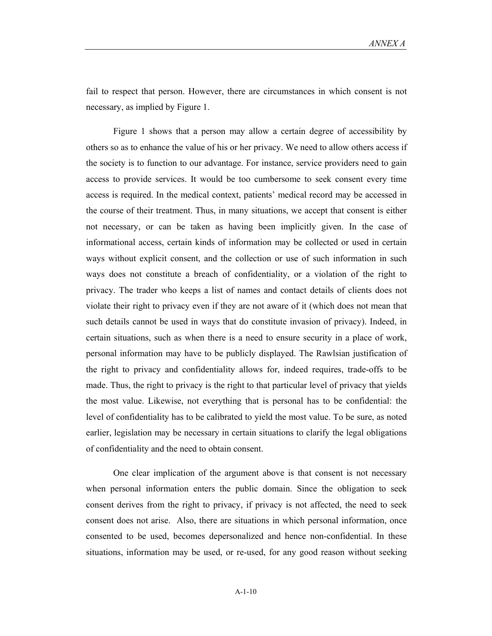fail to respect that person. However, there are circumstances in which consent is not necessary, as implied by Figure 1.

Figure 1 shows that a person may allow a certain degree of accessibility by others so as to enhance the value of his or her privacy. We need to allow others access if the society is to function to our advantage. For instance, service providers need to gain access to provide services. It would be too cumbersome to seek consent every time access is required. In the medical context, patients' medical record may be accessed in the course of their treatment. Thus, in many situations, we accept that consent is either not necessary, or can be taken as having been implicitly given. In the case of informational access, certain kinds of information may be collected or used in certain ways without explicit consent, and the collection or use of such information in such ways does not constitute a breach of confidentiality, or a violation of the right to privacy. The trader who keeps a list of names and contact details of clients does not violate their right to privacy even if they are not aware of it (which does not mean that such details cannot be used in ways that do constitute invasion of privacy). Indeed, in certain situations, such as when there is a need to ensure security in a place of work, personal information may have to be publicly displayed. The Rawlsian justification of the right to privacy and confidentiality allows for, indeed requires, trade-offs to be made. Thus, the right to privacy is the right to that particular level of privacy that yields the most value. Likewise, not everything that is personal has to be confidential: the level of confidentiality has to be calibrated to yield the most value. To be sure, as noted earlier, legislation may be necessary in certain situations to clarify the legal obligations of confidentiality and the need to obtain consent.

One clear implication of the argument above is that consent is not necessary when personal information enters the public domain. Since the obligation to seek consent derives from the right to privacy, if privacy is not affected, the need to seek consent does not arise. Also, there are situations in which personal information, once consented to be used, becomes depersonalized and hence non-confidential. In these situations, information may be used, or re-used, for any good reason without seeking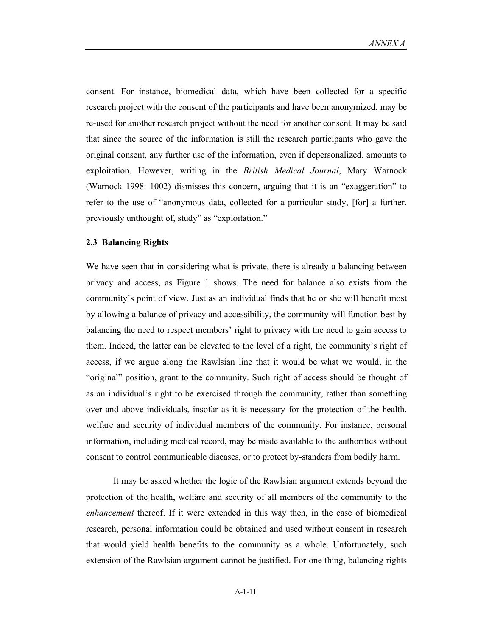consent. For instance, biomedical data, which have been collected for a specific research project with the consent of the participants and have been anonymized, may be re-used for another research project without the need for another consent. It may be said that since the source of the information is still the research participants who gave the original consent, any further use of the information, even if depersonalized, amounts to exploitation. However, writing in the British Medical Journal, Mary Warnock (Warnock 1998: 1002) dismisses this concern, arguing that it is an "exaggeration" to refer to the use of "anonymous data, collected for a particular study, [for] a further, previously unthought of, study" as "exploitation."

## 2.3 Balancing Rights

We have seen that in considering what is private, there is already a balancing between privacy and access, as Figure 1 shows. The need for balance also exists from the community's point of view. Just as an individual finds that he or she will benefit most by allowing a balance of privacy and accessibility, the community will function best by balancing the need to respect members' right to privacy with the need to gain access to them. Indeed, the latter can be elevated to the level of a right, the community's right of access, if we argue along the Rawlsian line that it would be what we would, in the "original" position, grant to the community. Such right of access should be thought of as an individual's right to be exercised through the community, rather than something over and above individuals, insofar as it is necessary for the protection of the health, welfare and security of individual members of the community. For instance, personal information, including medical record, may be made available to the authorities without consent to control communicable diseases, or to protect by-standers from bodily harm.

It may be asked whether the logic of the Rawlsian argument extends beyond the protection of the health, welfare and security of all members of the community to the enhancement thereof. If it were extended in this way then, in the case of biomedical research, personal information could be obtained and used without consent in research that would yield health benefits to the community as a whole. Unfortunately, such extension of the Rawlsian argument cannot be justified. For one thing, balancing rights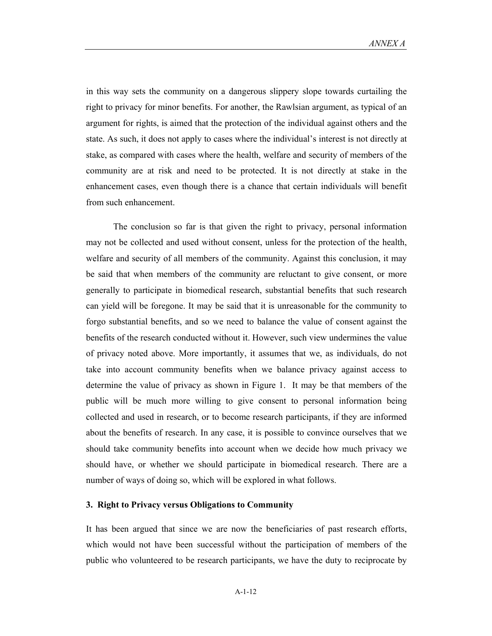in this way sets the community on a dangerous slippery slope towards curtailing the right to privacy for minor benefits. For another, the Rawlsian argument, as typical of an argument for rights, is aimed that the protection of the individual against others and the state. As such, it does not apply to cases where the individual's interest is not directly at stake, as compared with cases where the health, welfare and security of members of the community are at risk and need to be protected. It is not directly at stake in the enhancement cases, even though there is a chance that certain individuals will benefit from such enhancement.

The conclusion so far is that given the right to privacy, personal information may not be collected and used without consent, unless for the protection of the health, welfare and security of all members of the community. Against this conclusion, it may be said that when members of the community are reluctant to give consent, or more generally to participate in biomedical research, substantial benefits that such research can yield will be foregone. It may be said that it is unreasonable for the community to forgo substantial benefits, and so we need to balance the value of consent against the benefits of the research conducted without it. However, such view undermines the value of privacy noted above. More importantly, it assumes that we, as individuals, do not take into account community benefits when we balance privacy against access to determine the value of privacy as shown in Figure 1. It may be that members of the public will be much more willing to give consent to personal information being collected and used in research, or to become research participants, if they are informed about the benefits of research. In any case, it is possible to convince ourselves that we should take community benefits into account when we decide how much privacy we should have, or whether we should participate in biomedical research. There are a number of ways of doing so, which will be explored in what follows.

#### 3. Right to Privacy versus Obligations to Community

It has been argued that since we are now the beneficiaries of past research efforts, which would not have been successful without the participation of members of the public who volunteered to be research participants, we have the duty to reciprocate by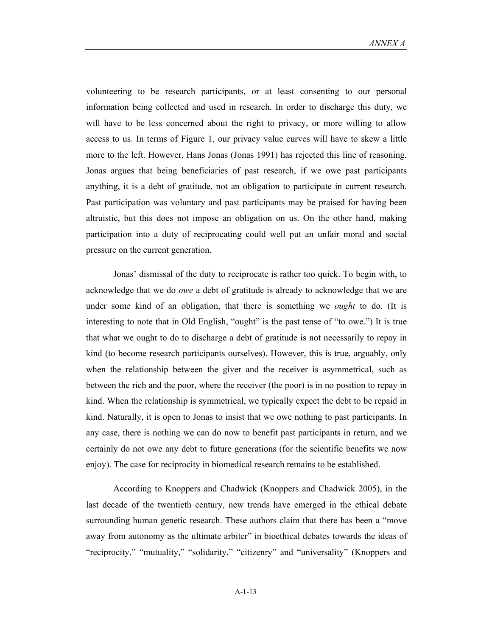volunteering to be research participants, or at least consenting to our personal information being collected and used in research. In order to discharge this duty, we will have to be less concerned about the right to privacy, or more willing to allow access to us. In terms of Figure 1, our privacy value curves will have to skew a little more to the left. However, Hans Jonas (Jonas 1991) has rejected this line of reasoning. Jonas argues that being beneficiaries of past research, if we owe past participants anything, it is a debt of gratitude, not an obligation to participate in current research. Past participation was voluntary and past participants may be praised for having been altruistic, but this does not impose an obligation on us. On the other hand, making participation into a duty of reciprocating could well put an unfair moral and social pressure on the current generation.

Jonas' dismissal of the duty to reciprocate is rather too quick. To begin with, to acknowledge that we do owe a debt of gratitude is already to acknowledge that we are under some kind of an obligation, that there is something we *ought* to do. (It is interesting to note that in Old English, "ought" is the past tense of "to owe.") It is true that what we ought to do to discharge a debt of gratitude is not necessarily to repay in kind (to become research participants ourselves). However, this is true, arguably, only when the relationship between the giver and the receiver is asymmetrical, such as between the rich and the poor, where the receiver (the poor) is in no position to repay in kind. When the relationship is symmetrical, we typically expect the debt to be repaid in kind. Naturally, it is open to Jonas to insist that we owe nothing to past participants. In any case, there is nothing we can do now to benefit past participants in return, and we certainly do not owe any debt to future generations (for the scientific benefits we now enjoy). The case for reciprocity in biomedical research remains to be established.

According to Knoppers and Chadwick (Knoppers and Chadwick 2005), in the last decade of the twentieth century, new trends have emerged in the ethical debate surrounding human genetic research. These authors claim that there has been a "move away from autonomy as the ultimate arbiter" in bioethical debates towards the ideas of "reciprocity," "mutuality," "solidarity," "citizenry" and "universality" (Knoppers and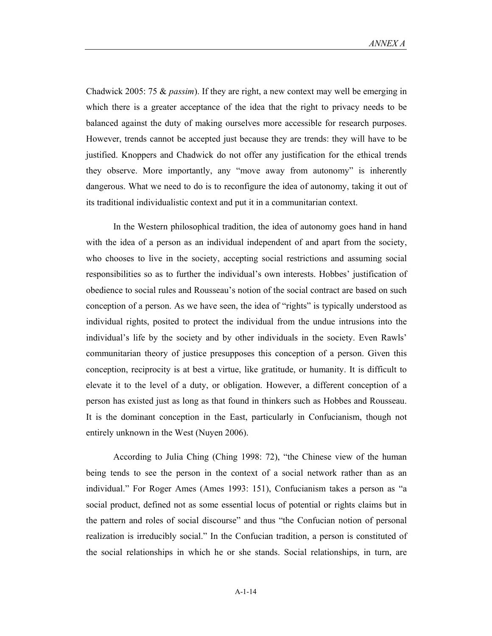Chadwick 2005: 75  $\&$  passim). If they are right, a new context may well be emerging in which there is a greater acceptance of the idea that the right to privacy needs to be balanced against the duty of making ourselves more accessible for research purposes. However, trends cannot be accepted just because they are trends: they will have to be justified. Knoppers and Chadwick do not offer any justification for the ethical trends they observe. More importantly, any "move away from autonomy" is inherently dangerous. What we need to do is to reconfigure the idea of autonomy, taking it out of its traditional individualistic context and put it in a communitarian context.

In the Western philosophical tradition, the idea of autonomy goes hand in hand with the idea of a person as an individual independent of and apart from the society, who chooses to live in the society, accepting social restrictions and assuming social responsibilities so as to further the individual's own interests. Hobbes' justification of obedience to social rules and Rousseau's notion of the social contract are based on such conception of a person. As we have seen, the idea of "rights" is typically understood as individual rights, posited to protect the individual from the undue intrusions into the individual's life by the society and by other individuals in the society. Even Rawls' communitarian theory of justice presupposes this conception of a person. Given this conception, reciprocity is at best a virtue, like gratitude, or humanity. It is difficult to elevate it to the level of a duty, or obligation. However, a different conception of a person has existed just as long as that found in thinkers such as Hobbes and Rousseau. It is the dominant conception in the East, particularly in Confucianism, though not entirely unknown in the West (Nuyen 2006).

According to Julia Ching (Ching 1998: 72), "the Chinese view of the human being tends to see the person in the context of a social network rather than as an individual." For Roger Ames (Ames 1993: 151), Confucianism takes a person as "a social product, defined not as some essential locus of potential or rights claims but in the pattern and roles of social discourse" and thus "the Confucian notion of personal realization is irreducibly social." In the Confucian tradition, a person is constituted of the social relationships in which he or she stands. Social relationships, in turn, are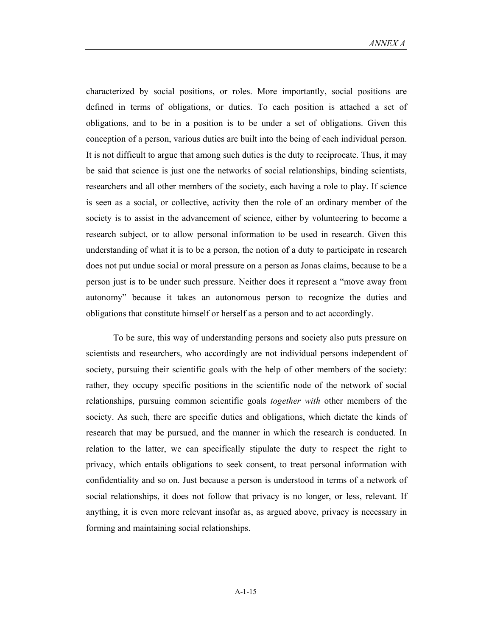characterized by social positions, or roles. More importantly, social positions are defined in terms of obligations, or duties. To each position is attached a set of obligations, and to be in a position is to be under a set of obligations. Given this conception of a person, various duties are built into the being of each individual person. It is not difficult to argue that among such duties is the duty to reciprocate. Thus, it may be said that science is just one the networks of social relationships, binding scientists, researchers and all other members of the society, each having a role to play. If science is seen as a social, or collective, activity then the role of an ordinary member of the society is to assist in the advancement of science, either by volunteering to become a research subject, or to allow personal information to be used in research. Given this understanding of what it is to be a person, the notion of a duty to participate in research does not put undue social or moral pressure on a person as Jonas claims, because to be a person just is to be under such pressure. Neither does it represent a "move away from autonomy" because it takes an autonomous person to recognize the duties and obligations that constitute himself or herself as a person and to act accordingly.

To be sure, this way of understanding persons and society also puts pressure on scientists and researchers, who accordingly are not individual persons independent of society, pursuing their scientific goals with the help of other members of the society: rather, they occupy specific positions in the scientific node of the network of social relationships, pursuing common scientific goals *together with* other members of the society. As such, there are specific duties and obligations, which dictate the kinds of research that may be pursued, and the manner in which the research is conducted. In relation to the latter, we can specifically stipulate the duty to respect the right to privacy, which entails obligations to seek consent, to treat personal information with confidentiality and so on. Just because a person is understood in terms of a network of social relationships, it does not follow that privacy is no longer, or less, relevant. If anything, it is even more relevant insofar as, as argued above, privacy is necessary in forming and maintaining social relationships.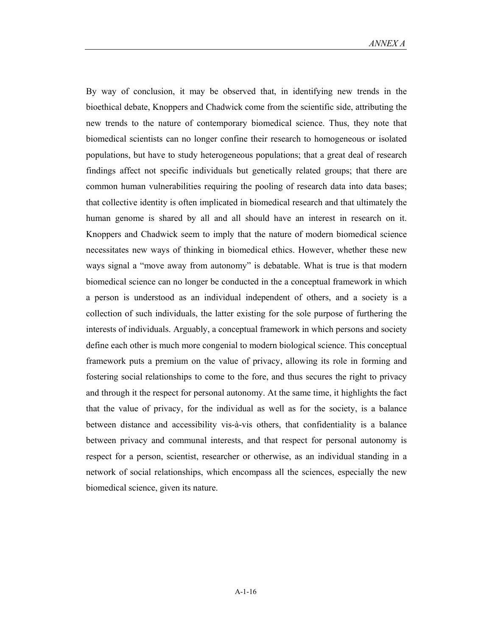By way of conclusion, it may be observed that, in identifying new trends in the bioethical debate, Knoppers and Chadwick come from the scientific side, attributing the new trends to the nature of contemporary biomedical science. Thus, they note that biomedical scientists can no longer confine their research to homogeneous or isolated populations, but have to study heterogeneous populations; that a great deal of research findings affect not specific individuals but genetically related groups; that there are common human vulnerabilities requiring the pooling of research data into data bases; that collective identity is often implicated in biomedical research and that ultimately the human genome is shared by all and all should have an interest in research on it. Knoppers and Chadwick seem to imply that the nature of modern biomedical science necessitates new ways of thinking in biomedical ethics. However, whether these new ways signal a "move away from autonomy" is debatable. What is true is that modern biomedical science can no longer be conducted in the a conceptual framework in which a person is understood as an individual independent of others, and a society is a collection of such individuals, the latter existing for the sole purpose of furthering the interests of individuals. Arguably, a conceptual framework in which persons and society define each other is much more congenial to modern biological science. This conceptual framework puts a premium on the value of privacy, allowing its role in forming and fostering social relationships to come to the fore, and thus secures the right to privacy and through it the respect for personal autonomy. At the same time, it highlights the fact that the value of privacy, for the individual as well as for the society, is a balance between distance and accessibility vis-à-vis others, that confidentiality is a balance between privacy and communal interests, and that respect for personal autonomy is respect for a person, scientist, researcher or otherwise, as an individual standing in a network of social relationships, which encompass all the sciences, especially the new biomedical science, given its nature.